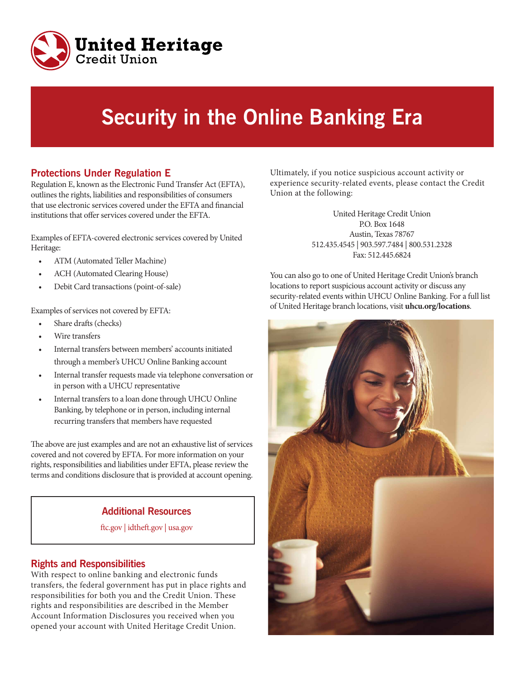

# **Security in the Online Banking Era**

# **Protections Under Regulation E**

Regulation E, known as the Electronic Fund Transfer Act (EFTA), outlines the rights, liabilities and responsibilities of consumers that use electronic services covered under the EFTA and financial institutions that offer services covered under the EFTA.

Examples of EFTA-covered electronic services covered by United Heritage:

- ATM (Automated Teller Machine)
- ACH (Automated Clearing House)
- Debit Card transactions (point-of-sale)

Examples of services not covered by EFTA:

- Share drafts (checks)
- Wire transfers
- Internal transfers between members' accounts initiated through a member's UHCU Online Banking account
- Internal transfer requests made via telephone conversation or in person with a UHCU representative
- Internal transfers to a loan done through UHCU Online Banking, by telephone or in person, including internal recurring transfers that members have requested

The above are just examples and are not an exhaustive list of services covered and not covered by EFTA. For more information on your rights, responsibilities and liabilities under EFTA, please review the terms and conditions disclosure that is provided at account opening.

## **Additional Resources**

ftc.gov | idtheft.gov | usa.gov

#### **Rights and Responsibilities**

With respect to online banking and electronic funds transfers, the federal government has put in place rights and responsibilities for both you and the Credit Union. These rights and responsibilities are described in the Member Account Information Disclosures you received when you opened your account with United Heritage Credit Union.

Ultimately, if you notice suspicious account activity or experience security-related events, please contact the Credit Union at the following:

> United Heritage Credit Union P.O. Box 1648 Austin, Texas 78767 512.435.4545 | 903.597.7484 | 800.531.2328 Fax: 512.445.6824

You can also go to one of United Heritage Credit Union's branch locations to report suspicious account activity or discuss any security-related events within UHCU Online Banking. For a full list of United Heritage branch locations, visit **uhcu.org/locations**.